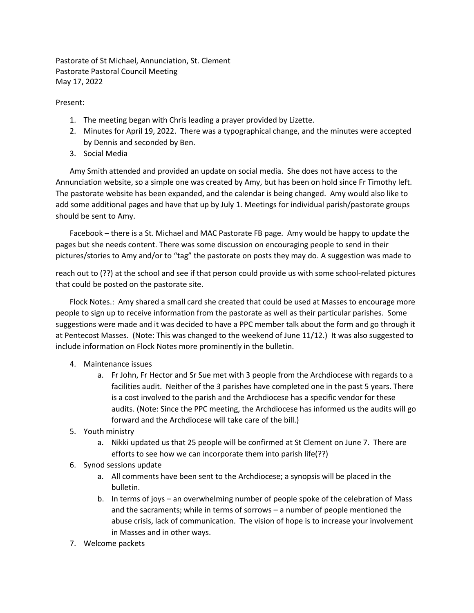Pastorate of St Michael, Annunciation, St. Clement Pastorate Pastoral Council Meeting May 17, 2022

Present:

- 1. The meeting began with Chris leading a prayer provided by Lizette.
- 2. Minutes for April 19, 2022. There was a typographical change, and the minutes were accepted by Dennis and seconded by Ben.
- 3. Social Media

Amy Smith attended and provided an update on social media. She does not have access to the Annunciation website, so a simple one was created by Amy, but has been on hold since Fr Timothy left. The pastorate website has been expanded, and the calendar is being changed. Amy would also like to add some additional pages and have that up by July 1. Meetings for individual parish/pastorate groups should be sent to Amy.

Facebook – there is a St. Michael and MAC Pastorate FB page. Amy would be happy to update the pages but she needs content. There was some discussion on encouraging people to send in their pictures/stories to Amy and/or to "tag" the pastorate on posts they may do. A suggestion was made to

reach out to (??) at the school and see if that person could provide us with some school-related pictures that could be posted on the pastorate site.

Flock Notes.: Amy shared a small card she created that could be used at Masses to encourage more people to sign up to receive information from the pastorate as well as their particular parishes. Some suggestions were made and it was decided to have a PPC member talk about the form and go through it at Pentecost Masses. (Note: This was changed to the weekend of June 11/12.) It was also suggested to include information on Flock Notes more prominently in the bulletin.

- 4. Maintenance issues
	- a. Fr John, Fr Hector and Sr Sue met with 3 people from the Archdiocese with regards to a facilities audit. Neither of the 3 parishes have completed one in the past 5 years. There is a cost involved to the parish and the Archdiocese has a specific vendor for these audits. (Note: Since the PPC meeting, the Archdiocese has informed us the audits will go forward and the Archdiocese will take care of the bill.)
- 5. Youth ministry
	- a. Nikki updated us that 25 people will be confirmed at St Clement on June 7. There are efforts to see how we can incorporate them into parish life(??)
- 6. Synod sessions update
	- a. All comments have been sent to the Archdiocese; a synopsis will be placed in the bulletin.
	- b. In terms of joys an overwhelming number of people spoke of the celebration of Mass and the sacraments; while in terms of sorrows – a number of people mentioned the abuse crisis, lack of communication. The vision of hope is to increase your involvement in Masses and in other ways.
- 7. Welcome packets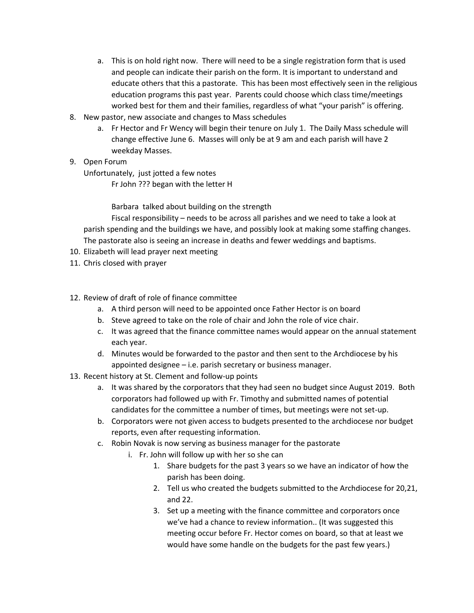- a. This is on hold right now. There will need to be a single registration form that is used and people can indicate their parish on the form. It is important to understand and educate others that this a pastorate. This has been most effectively seen in the religious education programs this past year. Parents could choose which class time/meetings worked best for them and their families, regardless of what "your parish" is offering.
- 8. New pastor, new associate and changes to Mass schedules
	- a. Fr Hector and Fr Wency will begin their tenure on July 1. The Daily Mass schedule will change effective June 6. Masses will only be at 9 am and each parish will have 2 weekday Masses.
- 9. Open Forum

Unfortunately, just jotted a few notes

Fr John ??? began with the letter H

Barbara talked about building on the strength

Fiscal responsibility – needs to be across all parishes and we need to take a look at parish spending and the buildings we have, and possibly look at making some staffing changes. The pastorate also is seeing an increase in deaths and fewer weddings and baptisms.

- 10. Elizabeth will lead prayer next meeting
- 11. Chris closed with prayer
- 12. Review of draft of role of finance committee
	- a. A third person will need to be appointed once Father Hector is on board
	- b. Steve agreed to take on the role of chair and John the role of vice chair.
	- c. It was agreed that the finance committee names would appear on the annual statement each year.
	- d. Minutes would be forwarded to the pastor and then sent to the Archdiocese by his appointed designee – i.e. parish secretary or business manager.
- 13. Recent history at St. Clement and follow-up points
	- a. It was shared by the corporators that they had seen no budget since August 2019. Both corporators had followed up with Fr. Timothy and submitted names of potential candidates for the committee a number of times, but meetings were not set-up.
	- b. Corporators were not given access to budgets presented to the archdiocese nor budget reports, even after requesting information.
	- c. Robin Novak is now serving as business manager for the pastorate
		- i. Fr. John will follow up with her so she can
			- 1. Share budgets for the past 3 years so we have an indicator of how the parish has been doing.
			- 2. Tell us who created the budgets submitted to the Archdiocese for 20,21, and 22.
			- 3. Set up a meeting with the finance committee and corporators once we've had a chance to review information.. (It was suggested this meeting occur before Fr. Hector comes on board, so that at least we would have some handle on the budgets for the past few years.)